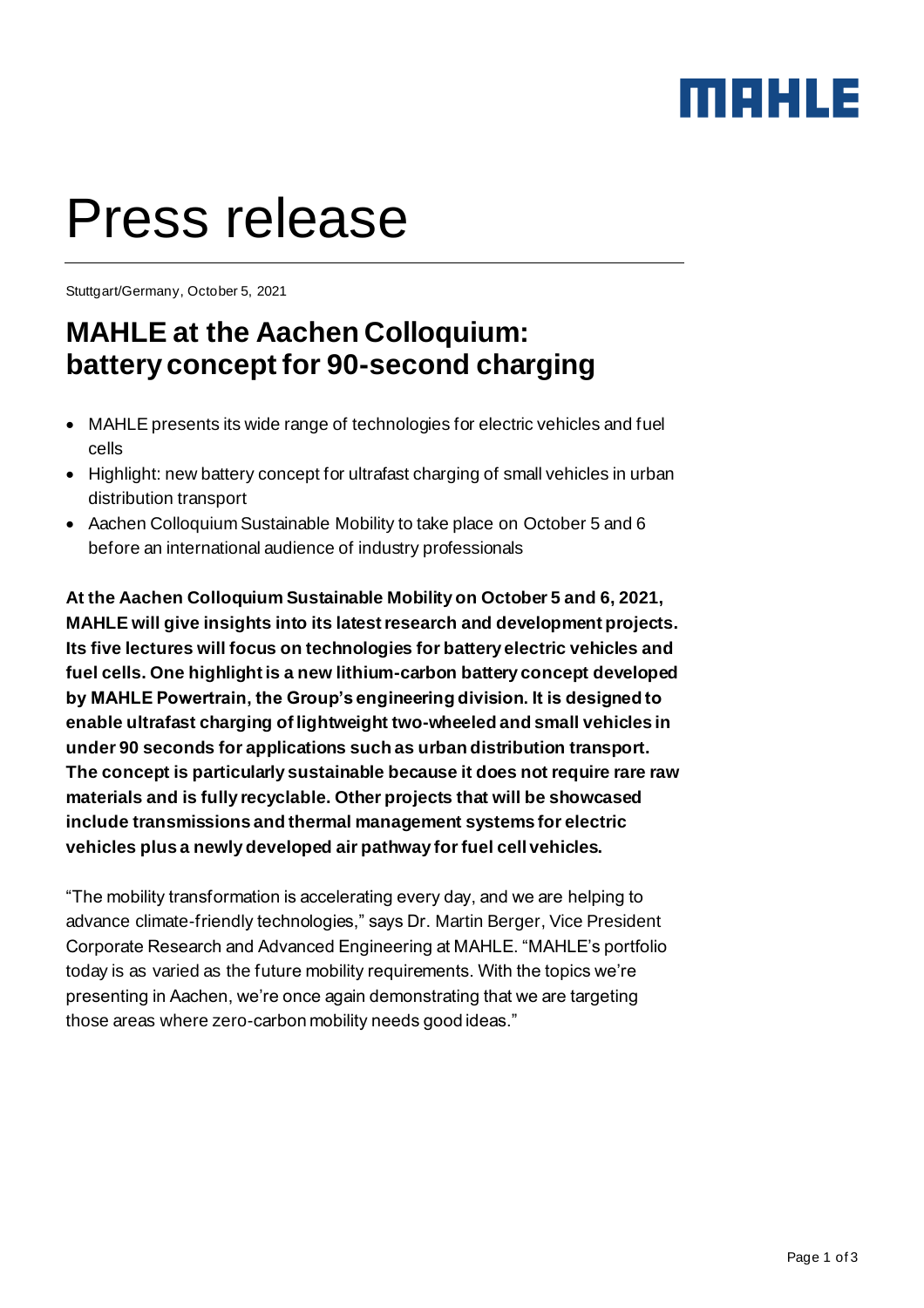### MAHLE

# Press release

Stuttgart/Germany, October 5, 2021

### **MAHLE at the Aachen Colloquium: battery concept for 90-second charging**

- MAHLE presents its wide range of technologies for electric vehicles and fuel cells
- Highlight: new battery concept for ultrafast charging of small vehicles in urban distribution transport
- Aachen Colloquium Sustainable Mobility to take place on October 5 and 6 before an international audience of industry professionals

**At the Aachen Colloquium Sustainable Mobility on October 5 and 6, 2021, MAHLE will give insights into its latest research and development projects. Its five lectures will focus on technologies for battery electric vehicles and fuel cells. One highlight is a new lithium-carbon battery concept developed by MAHLE Powertrain, the Group's engineering division. It is designed to enable ultrafast charging of lightweight two-wheeled and small vehicles in under 90 seconds for applications such as urban distribution transport. The concept is particularly sustainable because it does not require rare raw materials and is fully recyclable. Other projects that will be showcased include transmissions and thermal management systems for electric vehicles plus a newly developed air pathway for fuel cell vehicles.**

"The mobility transformation is accelerating every day, and we are helping to advance climate-friendly technologies," says Dr. Martin Berger, Vice President Corporate Research and Advanced Engineering at MAHLE. "MAHLE's portfolio today is as varied as the future mobility requirements. With the topics we're presenting in Aachen, we're once again demonstrating that we are targeting those areas where zero-carbon mobility needs good ideas."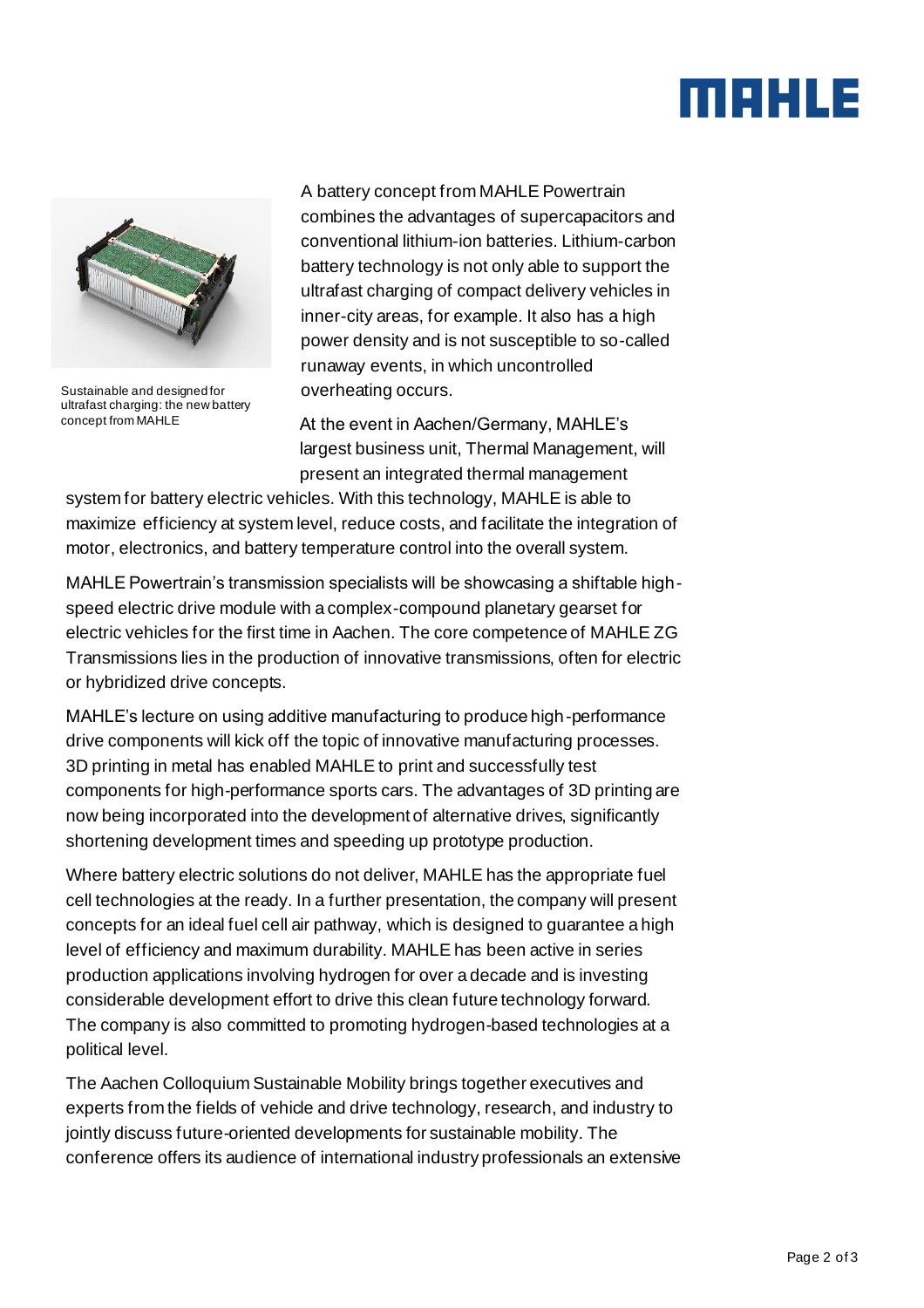## MAHLE



Sustainable and designed for ultrafast charging: the new battery concept from MAHLE

A battery concept from MAHLE Powertrain combines the advantages of supercapacitors and conventional lithium-ion batteries. Lithium-carbon battery technology is not only able to support the ultrafast charging of compact delivery vehicles in inner-city areas, for example. It also has a high power density and is not susceptible to so-called runaway events, in which uncontrolled overheating occurs.

At the event in Aachen/Germany, MAHLE's largest business unit, Thermal Management, will present an integrated thermal management

system for battery electric vehicles. With this technology, MAHLE is able to maximize efficiency at system level, reduce costs, and facilitate the integration of motor, electronics, and battery temperature control into the overall system.

MAHLE Powertrain's transmission specialists will be showcasing a shiftable highspeed electric drive module with a complex-compound planetary gearset for electric vehicles for the first time in Aachen. The core competence of MAHLE ZG Transmissions lies in the production of innovative transmissions, often for electric or hybridized drive concepts.

MAHLE's lecture on using additive manufacturing to produce high-performance drive components will kick off the topic of innovative manufacturing processes. 3D printing in metal has enabled MAHLE to print and successfully test components for high-performance sports cars. The advantages of 3D printing are now being incorporated into the development of alternative drives, significantly shortening development times and speeding up prototype production.

Where battery electric solutions do not deliver, MAHLE has the appropriate fuel cell technologies at the ready. In a further presentation, the company will present concepts for an ideal fuel cell air pathway, which is designed to guarantee a high level of efficiency and maximum durability. MAHLE has been active in series production applications involving hydrogen for over a decade and is investing considerable development effort to drive this clean future technology forward. The company is also committed to promoting hydrogen-based technologies at a political level.

The Aachen Colloquium Sustainable Mobility brings together executives and experts from the fields of vehicle and drive technology, research, and industry to jointly discuss future-oriented developments for sustainable mobility. The conference offers its audience of international industry professionals an extensive